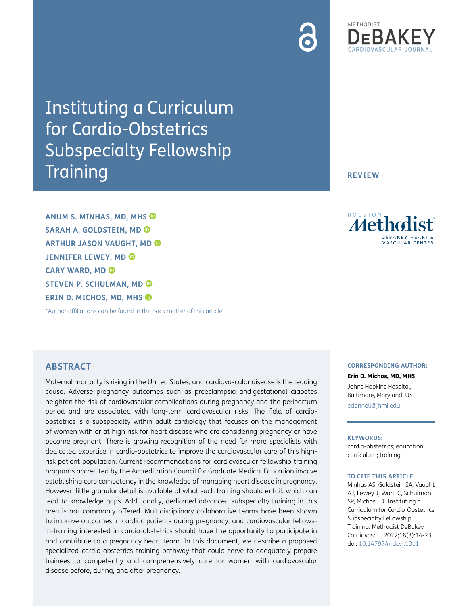# Instituting a Curriculum for Cardio-Obstetrics Subspecialty Fellowship **Training**

**ANUM S. MINHAS, MD, MHS SARAH A. GOLDSTEIN, MD ARTHUR JASON VAUGHT, MD JENNIFER LEWEY, MD CARY WARD, MD STEVEN P. SCHULMAN, MD ERIN D. MICHOS, MD, MHS**

[\\*Author affiliations can be found in the back matter of this article](#page-7-0)

# **ABSTRACT**

Maternal mortality is rising in the United States, and cardiovascular disease is the leading cause. Adverse pregnancy outcomes such as preeclampsia and gestational diabetes heighten the risk of cardiovascular complications during pregnancy and the peripartum period and are associated with long-term cardiovascular risks. The field of cardioobstetrics is a subspecialty within adult cardiology that focuses on the management of women with or at high risk for heart disease who are considering pregnancy or have become pregnant. There is growing recognition of the need for more specialists with dedicated expertise in cardio-obstetrics to improve the cardiovascular care of this highrisk patient population. Current recommendations for cardiovascular fellowship training programs accredited by the Accreditation Council for Graduate Medical Education involve establishing core competency in the knowledge of managing heart disease in pregnancy. However, little granular detail is available of what such training should entail, which can lead to knowledge gaps. Additionally, dedicated advanced subspecialty training in this area is not commonly offered. Multidisciplinary collaborative teams have been shown to improve outcomes in cardiac patients during pregnancy, and cardiovascular fellowsin-training interested in cardio-obstetrics should have the opportunity to participate in and contribute to a pregnancy heart team. In this document, we describe a proposed specialized cardio-obstetrics training pathway that could serve to adequately prepare trainees to competently and comprehensively care for women with cardiovascular disease before, during, and after pregnancy.

#### **CORRESPONDING AUTHOR:**

**Erin D. Michos, MD, MHS** Johns Hopkins Hospital, Baltimore, Maryland, US [edonnell@jhmi.edu](mailto:edonnell@jhmi.edu)

#### **KEYWORDS:**

cardio-obstetrics; education; curriculum; training

#### **TO CITE THIS ARTICLE:**

Minhas AS, Goldstein SA, Vaught AJ, Lewey J, Ward C, Schulman SP, Michos ED. Instituting a Curriculum for Cardio-Obstetrics Subspecialty Fellowship Training. Methodist DeBakey Cardiovasc J. 2022;18(3):14-23. doi: [10.14797/mdcvj.1011](https://doi.org/10.14797/mdcvj.1011)

**REVIEW**

Metho **ASCULAR CENTER** 

# METHODIST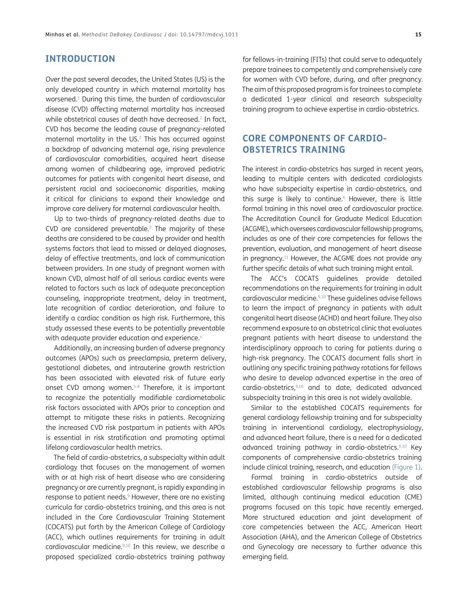#### **INTRODUCTION**

Over the past several decades, the United States (US) is the only developed country in which maternal mortality has worsened[.1](#page-8-0) During this time, the burden of cardiovascular disease (CVD) affecting maternal mortality has increased while obstetrical causes of death have decreased.<sup>2</sup> In fact, CVD has become the leading cause of pregnancy-related maternal mortality in the US[.2](#page-8-1) This has occurred against a backdrop of advancing maternal age, rising prevalence of cardiovascular comorbidities, acquired heart disease among women of childbearing age, improved pediatric outcomes for patients with congenital heart disease, and persistent racial and socioeconomic disparities, making it critical for clinicians to expand their knowledge and improve care delivery for maternal cardiovascular health.

Up to two-thirds of pregnancy-related deaths due to CVD are considered preventable. $3$  The majority of these deaths are considered to be caused by provider and health systems factors that lead to missed or delayed diagnoses, delay of effective treatments, and lack of communication between providers. In one study of pregnant women with known CVD, almost half of all serious cardiac events were related to factors such as lack of adequate preconception counseling, inappropriate treatment, delay in treatment, late recognition of cardiac deterioration, and failure to identify a cardiac condition as high risk. Furthermore, this study assessed these events to be potentially preventable with adequate provider education and experience.<sup>[4](#page-8-3)</sup>

Additionally, an increasing burden of adverse pregnancy outcomes (APOs) such as preeclampsia, preterm delivery, gestational diabetes, and intrauterine growth restriction has been associated with elevated risk of future early onset CVD among women.<sup>[5-](#page-8-4)8</sup> Therefore, it is important to recognize the potentially modifiable cardiometabolic risk factors associated with APOs prior to conception and attempt to mitigate these risks in patients. Recognizing the increased CVD risk postpartum in patients with APOs is essential in risk stratification and promoting optimal lifelong cardiovascular health metrics.

The field of cardio-obstetrics, a subspecialty within adult cardiology that focuses on the management of women with or at high risk of heart disease who are considering pregnancy or are currently pregnant, is rapidly expanding in response to patient needs.<sup>9</sup> However, there are no existing curricula for cardio-obstetrics training, and this area is not included in the Core Cardiovascular Training Statement (COCATS) put forth by the American College of Cardiology (ACC), which outlines requirements for training in adult cardiovascular medicine[.9](#page-8-6),[10](#page-8-7) In this review, we describe a proposed specialized cardio-obstetrics training pathway

for fellows-in-training (FITs) that could serve to adequately prepare trainees to competently and comprehensively care for women with CVD before, during, and after pregnancy. The aim of this proposed program is for trainees to complete a dedicated 1-year clinical and research subspecialty training program to achieve expertise in cardio-obstetrics.

# **CORE COMPONENTS OF CARDIO-OBSTETRICS TRAINING**

The interest in cardio-obstetrics has surged in recent years, leading to multiple centers with dedicated cardiologists who have subspecialty expertise in cardio-obstetrics, and this surge is likely to continue. $^6$  $^6$  However, there is little formal training in this novel area of cardiovascular practice. The Accreditation Council for Graduate Medical Education (ACGME), which oversees cardiovascular fellowship programs, includes as one of their core competencies for fellows the prevention, evaluation, and management of heart disease in pregnancy.<sup>11</sup> However, the ACGME does not provide any further specific details of what such training might entail.

The ACC's COCATS guidelines provide detailed recommendations on the requirements for training in adult cardiovascular medicine.<sup>9,10</sup> These guidelines advise fellows to learn the impact of pregnancy in patients with adult congenital heart disease (ACHD) and heart failure. They also recommend exposure to an obstetrical clinic that evaluates pregnant patients with heart disease to understand the interdisciplinary approach to caring for patients during a high-risk pregnancy. The COCATS document falls short in outlining any specific training pathway rotations for fellows who desire to develop advanced expertise in the area of cardio-obstetrics,<sup>[9,](#page-8-6)[10](#page-8-7)</sup> and to date, dedicated advanced subspecialty training in this area is not widely available.

Similar to the established COCATS requirements for general cardiology fellowship training and for subspecialty training in interventional cardiology, electrophysiology, and advanced heart failure, there is a need for a dedicated advanced training pathway in cardio-obstetrics.[9,](#page-8-6)[10](#page-8-7) Key components of comprehensive cardio-obstetrics training include clinical training, research, and education ([Figure 1\)](#page-2-0).

Formal training in cardio-obstetrics outside of established cardiovascular fellowship programs is also limited, although continuing medical education (CME) programs focused on this topic have recently emerged. More structured education and joint development of core competencies between the ACC, American Heart Association (AHA), and the American College of Obstetrics and Gynecology are necessary to further advance this emerging field.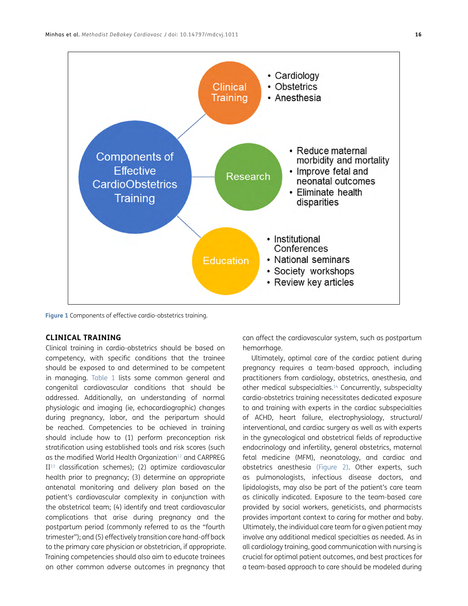

<span id="page-2-0"></span>**Figure 1** Components of effective cardio-obstetrics training.

#### **CLINICAL TRAINING**

Clinical training in cardio-obstetrics should be based on competency, with specific conditions that the trainee should be exposed to and determined to be competent in managing. [Table 1](#page-3-0) lists some common general and congenital cardiovascular conditions that should be addressed. Additionally, an understanding of normal physiologic and imaging (ie, echocardiographic) changes during pregnancy, labor, and the peripartum should be reached. Competencies to be achieved in training should include how to (1) perform preconception risk stratification using established tools and risk scores (such as the modified World Health Organization<sup>12</sup> and CARPREG II<sup>13</sup> classification schemes); (2) optimize cardiovascular health prior to pregnancy; (3) determine an appropriate antenatal monitoring and delivery plan based on the patient's cardiovascular complexity in conjunction with the obstetrical team; (4) identify and treat cardiovascular complications that arise during pregnancy and the postpartum period (commonly referred to as the "fourth trimester"); and (5) effectively transition care hand-off back to the primary care physician or obstetrician, if appropriate. Training competencies should also aim to educate trainees on other common adverse outcomes in pregnancy that

can affect the cardiovascular system, such as postpartum hemorrhage.

Ultimately, optimal care of the cardiac patient during pregnancy requires a team-based approach, including practitioners from cardiology, obstetrics, anesthesia, and other medical subspecialties[.14](#page-8-12) Concurrently, subspecialty cardio-obstetrics training necessitates dedicated exposure to and training with experts in the cardiac subspecialties of ACHD, heart failure, electrophysiology, structural/ interventional, and cardiac surgery as well as with experts in the gynecological and obstetrical fields of reproductive endocrinology and infertility, general obstetrics, maternal fetal medicine (MFM), neonatology, and cardiac and obstetrics anesthesia ([Figure 2](#page-4-0)). Other experts, such as pulmonologists, infectious disease doctors, and lipidologists, may also be part of the patient's care team as clinically indicated. Exposure to the team-based care provided by social workers, geneticists, and pharmacists provides important context to caring for mother and baby. Ultimately, the individual care team for a given patient may involve any additional medical specialties as needed. As in all cardiology training, good communication with nursing is crucial for optimal patient outcomes, and best practices for a team-based approach to care should be modeled during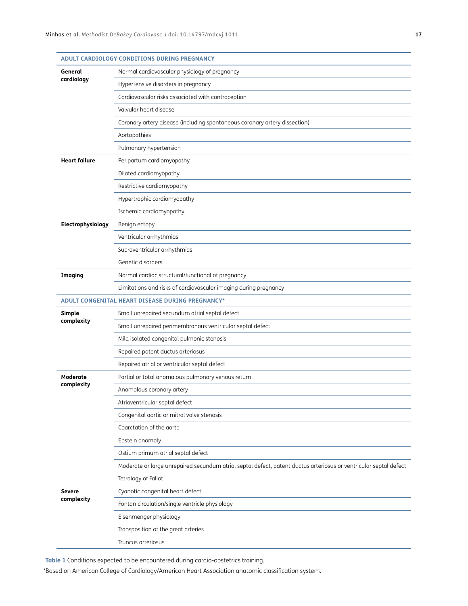|                               | ADULT CARDIOLOGY CONDITIONS DURING PREGNANCY                                                                      |
|-------------------------------|-------------------------------------------------------------------------------------------------------------------|
| General<br>cardiology         | Normal cardiovascular physiology of pregnancy                                                                     |
|                               | Hypertensive disorders in pregnancy                                                                               |
|                               | Cardiovascular risks associated with contraception                                                                |
|                               | Valvular heart disease                                                                                            |
|                               | Coronary artery disease (including spontaneous coronary artery dissection)                                        |
|                               | Aortopathies                                                                                                      |
|                               | Pulmonary hypertension                                                                                            |
| <b>Heart failure</b>          | Peripartum cardiomyopathy                                                                                         |
|                               | Dilated cardiomyopathy                                                                                            |
|                               | Restrictive cardiomyopathy                                                                                        |
|                               | Hypertrophic cardiomyopathy                                                                                       |
|                               | Ischemic cardiomyopathy                                                                                           |
| Electrophysiology             | Benign ectopy                                                                                                     |
|                               | Ventricular arrhythmias                                                                                           |
|                               | Supraventricular arrhythmias                                                                                      |
|                               | Genetic disorders                                                                                                 |
| <b>Imaging</b>                | Normal cardiac structural/functional of pregnancy                                                                 |
|                               | Limitations and risks of cardiovascular imaging during pregnancy                                                  |
|                               | ADULT CONGENITAL HEART DISEASE DURING PREGNANCY*                                                                  |
| Simple<br>complexity          | Small unrepaired secundum atrial septal defect                                                                    |
|                               | Small unrepaired perimembranous ventricular septal defect                                                         |
|                               | Mild isolated congenital pulmonic stenosis                                                                        |
|                               | Repaired patent ductus arteriosus                                                                                 |
|                               | Repaired atrial or ventricular septal defect                                                                      |
| <b>Moderate</b><br>complexity | Partial or total anomalous pulmonary venous return                                                                |
|                               | Anomalous coronary artery                                                                                         |
|                               | Atrioventricular septal defect                                                                                    |
|                               | Congenital aortic or mitral valve stenosis                                                                        |
|                               | Coarctation of the aorta                                                                                          |
|                               | Ebstein anomaly                                                                                                   |
|                               | Ostium primum atrial septal defect                                                                                |
|                               | Moderate or large unrepaired secundum atrial septal defect, patent ductus arteriosus or ventricular septal defect |
|                               | Tetralogy of Fallot                                                                                               |
| <b>Severe</b><br>complexity   | Cyanotic congenital heart defect                                                                                  |
|                               | Fontan circulation/single ventricle physiology                                                                    |
|                               | Eisenmenger physiology                                                                                            |
|                               | Transposition of the great arteries                                                                               |
|                               | Truncus arteriosus                                                                                                |
|                               |                                                                                                                   |

<span id="page-3-0"></span>**Table 1** Conditions expected to be encountered during cardio-obstetrics training.

\*Based on American College of Cardiology/American Heart Association anatomic classification system.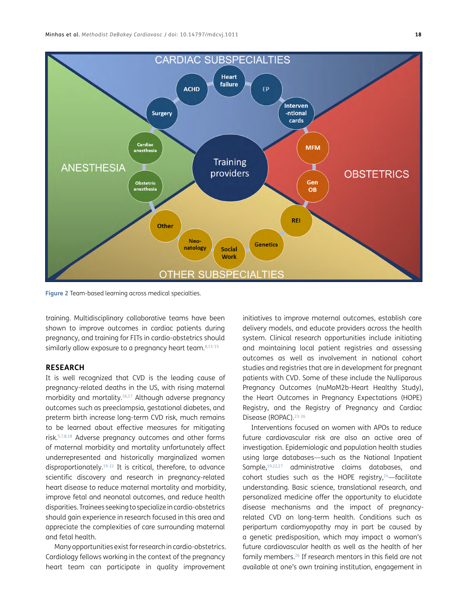

<span id="page-4-0"></span>**Figure 2** Team-based learning across medical specialties.

training. Multidisciplinary collaborative teams have been shown to improve outcomes in cardiac patients during pregnancy, and training for FITs in cardio-obstetrics should similarly allow exposure to a pregnancy heart team.<sup>8[,13](#page-8-11)[-15](#page-8-13)</sup>

#### **RESEARCH**

It is well recognized that CVD is the leading cause of pregnancy-related deaths in the US, with rising maternal morbidity and mortality[.16](#page-8-14)[,17](#page-8-15) Although adverse pregnancy outcomes such as preeclampsia, gestational diabetes, and preterm birth increase long-term CVD risk, much remains to be learned about effective measures for mitigating risk.[5,](#page-8-4)[7,](#page-8-16)[8](#page-8-5)[,18](#page-8-17) Adverse pregnancy outcomes and other forms of maternal morbidity and mortality unfortunately affect underrepresented and historically marginalized women disproportionately[.19](#page-8-18)[-22](#page-9-0) It is critical, therefore, to advance scientific discovery and research in pregnancy-related heart disease to reduce maternal mortality and morbidity, improve fetal and neonatal outcomes, and reduce health disparities. Trainees seeking to specialize in cardio-obstetrics should gain experience in research focused in this area and appreciate the complexities of care surrounding maternal and fetal health.

Many opportunities exist for research in cardio-obstetrics. Cardiology fellows working in the context of the pregnancy heart team can participate in quality improvement

initiatives to improve maternal outcomes, establish care delivery models, and educate providers across the health system. Clinical research opportunities include initiating and maintaining local patient registries and assessing outcomes as well as involvement in national cohort studies and registries that are in development for pregnant patients with CVD. Some of these include the Nulliparous Pregnancy Outcomes (nuMoM2b-Heart Healthy Study), the Heart Outcomes in Pregnancy Expectations (HOPE) Registry, and the Registry of Pregnancy and Cardiac Disease (ROPAC).<sup>23-[26](#page-9-2)</sup>

Interventions focused on women with APOs to reduce future cardiovascular risk are also an active area of investigation. Epidemiologic and population health studies using large databases—such as the National Inpatient Sample,[19,](#page-8-18)[22](#page-9-0)[,27](#page-9-3) administrative claims databases, and cohort studies such as the HOPE registry, $24$ -facilitate understanding. Basic science, translational research, and personalized medicine offer the opportunity to elucidate disease mechanisms and the impact of pregnancyrelated CVD on long-term health. Conditions such as peripartum cardiomyopathy may in part be caused by a genetic predisposition, which may impact a woman's future cardiovascular health as well as the health of her family members[.26](#page-9-2) If research mentors in this field are not available at one's own training institution, engagement in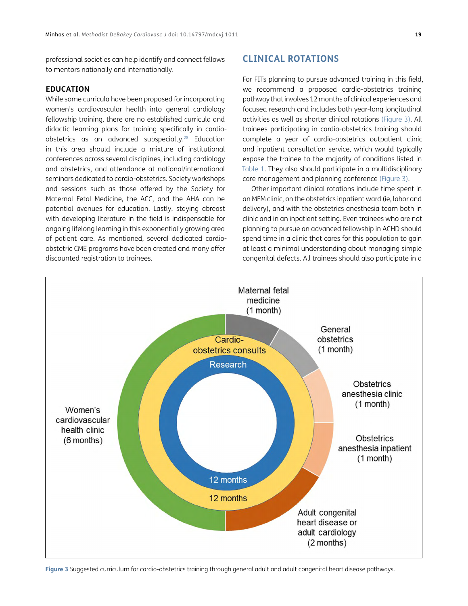professional societies can help identify and connect fellows to mentors nationally and internationally.

#### **EDUCATION**

While some curricula have been proposed for incorporating women's cardiovascular health into general cardiology fellowship training, there are no established curricula and didactic learning plans for training specifically in cardioobstetrics as an advanced subspecialty.[28](#page-9-5) Education in this area should include a mixture of institutional conferences across several disciplines, including cardiology and obstetrics, and attendance at national/international seminars dedicated to cardio-obstetrics. Society workshops and sessions such as those offered by the Society for Maternal Fetal Medicine, the ACC, and the AHA can be potential avenues for education. Lastly, staying abreast with developing literature in the field is indispensable for ongoing lifelong learning in this exponentially growing area of patient care. As mentioned, several dedicated cardioobstetric CME programs have been created and many offer discounted registration to trainees.

# **CLINICAL ROTATIONS**

For FITs planning to pursue advanced training in this field, we recommend a proposed cardio-obstetrics training pathway that involves 12 months of clinical experiences and focused research and includes both year-long longitudinal activities as well as shorter clinical rotations ([Figure 3](#page-5-0)). All trainees participating in cardio-obstetrics training should complete a year of cardio-obstetrics outpatient clinic and inpatient consultation service, which would typically expose the trainee to the majority of conditions listed in [Table 1.](#page-3-0) They also should participate in a multidisciplinary care management and planning conference [\(Figure 3](#page-5-0)).

Other important clinical rotations include time spent in an MFM clinic, on the obstetrics inpatient ward (ie, labor and delivery), and with the obstetrics anesthesia team both in clinic and in an inpatient setting. Even trainees who are not planning to pursue an advanced fellowship in ACHD should spend time in a clinic that cares for this population to gain at least a minimal understanding about managing simple congenital defects. All trainees should also participate in a



<span id="page-5-0"></span>**Figure 3** Suggested curriculum for cardio-obstetrics training through general adult and adult congenital heart disease pathways.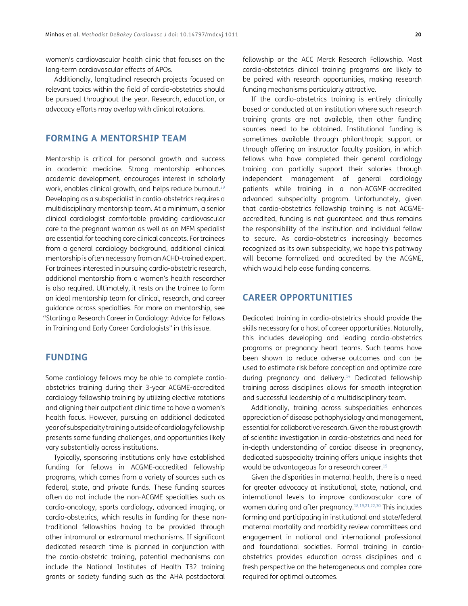women's cardiovascular health clinic that focuses on the long-term cardiovascular effects of APOs.

Additionally, longitudinal research projects focused on relevant topics within the field of cardio-obstetrics should be pursued throughout the year. Research, education, or advocacy efforts may overlap with clinical rotations.

# **FORMING A MENTORSHIP TEAM**

Mentorship is critical for personal growth and success in academic medicine. Strong mentorship enhances academic development, encourages interest in scholarly work, enables clinical growth, and helps reduce burnout[.29](#page-9-6) Developing as a subspecialist in cardio-obstetrics requires a multidisciplinary mentorship team. At a minimum, a senior clinical cardiologist comfortable providing cardiovascular care to the pregnant woman as well as an MFM specialist are essential for teaching core clinical concepts. For trainees from a general cardiology background, additional clinical mentorship is often necessary from an ACHD-trained expert. For trainees interested in pursuing cardio-obstetric research, additional mentorship from a women's health researcher is also required. Ultimately, it rests on the trainee to form an ideal mentorship team for clinical, research, and career guidance across specialties. For more on mentorship, see "Starting a Research Career in Cardiology: Advice for Fellows in Training and Early Career Cardiologists" in this issue.

#### **FUNDING**

Some cardiology fellows may be able to complete cardioobstetrics training during their 3-year ACGME-accredited cardiology fellowship training by utilizing elective rotations and aligning their outpatient clinic time to have a women's health focus. However, pursuing an additional dedicated year of subspecialty training outside of cardiology fellowship presents some funding challenges, and opportunities likely vary substantially across institutions.

Typically, sponsoring institutions only have established funding for fellows in ACGME-accredited fellowship programs, which comes from a variety of sources such as federal, state, and private funds. These funding sources often do not include the non-ACGME specialties such as cardio-oncology, sports cardiology, advanced imaging, or cardio-obstetrics, which results in funding for these nontraditional fellowships having to be provided through other intramural or extramural mechanisms. If significant dedicated research time is planned in conjunction with the cardio-obstetric training, potential mechanisms can include the National Institutes of Health T32 training grants or society funding such as the AHA postdoctoral

fellowship or the ACC Merck Research Fellowship. Most cardio-obstetrics clinical training programs are likely to be paired with research opportunities, making research funding mechanisms particularly attractive.

If the cardio-obstetrics training is entirely clinically based or conducted at an institution where such research training grants are not available, then other funding sources need to be obtained. Institutional funding is sometimes available through philanthropic support or through offering an instructor faculty position, in which fellows who have completed their general cardiology training can partially support their salaries through independent management of general cardiology patients while training in a non-ACGME-accredited advanced subspecialty program. Unfortunately, given that cardio-obstetrics fellowship training is not ACGMEaccredited, funding is not guaranteed and thus remains the responsibility of the institution and individual fellow to secure. As cardio-obstetrics increasingly becomes recognized as its own subspecialty, we hope this pathway will become formalized and accredited by the ACGME, which would help ease funding concerns.

#### **CAREER OPPORTUNITIES**

Dedicated training in cardio-obstetrics should provide the skills necessary for a host of career opportunities. Naturally, this includes developing and leading cardio-obstetrics programs or pregnancy heart teams. Such teams have been shown to reduce adverse outcomes and can be used to estimate risk before conception and optimize care during pregnancy and delivery.<sup>14</sup> Dedicated fellowship training across disciplines allows for smooth integration and successful leadership of a multidisciplinary team.

Additionally, training across subspecialties enhances appreciation of disease pathophysiology and management, essential for collaborative research. Given the robust growth of scientific investigation in cardio-obstetrics and need for in-depth understanding of cardiac disease in pregnancy, dedicated subspecialty training offers unique insights that would be advantageous for a research career.<sup>15</sup>

Given the disparities in maternal health, there is a need for greater advocacy at institutional, state, national, and international levels to improve cardiovascular care of women during and after pregnancy.<sup>18[,19](#page-8-18),[21,](#page-9-7)[22](#page-9-0)[,30](#page-9-8)</sup> This includes forming and participating in institutional and state/federal maternal mortality and morbidity review committees and engagement in national and international professional and foundational societies. Formal training in cardioobstetrics provides education across disciplines and a fresh perspective on the heterogeneous and complex care required for optimal outcomes.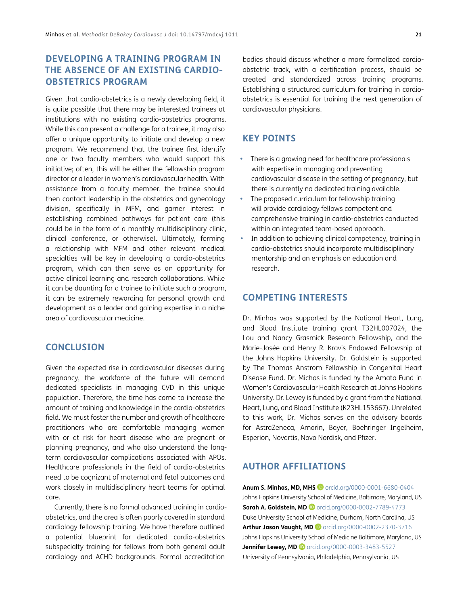# **DEVELOPING A TRAINING PROGRAM IN THE ABSENCE OF AN EXISTING CARDIO-OBSTETRICS PROGRAM**

Given that cardio-obstetrics is a newly developing field, it is quite possible that there may be interested trainees at institutions with no existing cardio-obstetrics programs. While this can present a challenge for a trainee, it may also offer a unique opportunity to initiate and develop a new program. We recommend that the trainee first identify one or two faculty members who would support this initiative; often, this will be either the fellowship program director or a leader in women's cardiovascular health. With assistance from a faculty member, the trainee should then contact leadership in the obstetrics and gynecology division, specifically in MFM, and garner interest in establishing combined pathways for patient care (this could be in the form of a monthly multidisciplinary clinic, clinical conference, or otherwise). Ultimately, forming a relationship with MFM and other relevant medical specialties will be key in developing a cardio-obstetrics program, which can then serve as an opportunity for active clinical learning and research collaborations. While it can be daunting for a trainee to initiate such a program, it can be extremely rewarding for personal growth and development as a leader and gaining expertise in a niche area of cardiovascular medicine.

#### **CONCLUSION**

Given the expected rise in cardiovascular diseases during pregnancy, the workforce of the future will demand dedicated specialists in managing CVD in this unique population. Therefore, the time has come to increase the amount of training and knowledge in the cardio-obstetrics field. We must foster the number and growth of healthcare practitioners who are comfortable managing women with or at risk for heart disease who are pregnant or planning pregnancy, and who also understand the longterm cardiovascular complications associated with APOs. Healthcare professionals in the field of cardio-obstetrics need to be cognizant of maternal and fetal outcomes and work closely in multidisciplinary heart teams for optimal care.

Currently, there is no formal advanced training in cardioobstetrics, and the area is often poorly covered in standard cardiology fellowship training. We have therefore outlined a potential blueprint for dedicated cardio-obstetrics subspecialty training for fellows from both general adult cardiology and ACHD backgrounds. Formal accreditation

bodies should discuss whether a more formalized cardioobstetric track, with a certification process, should be created and standardized across training programs. Establishing a structured curriculum for training in cardioobstetrics is essential for training the next generation of cardiovascular physicians.

# **KEY POINTS**

- **•**  There is a growing need for healthcare professionals with expertise in managing and preventing cardiovascular disease in the setting of pregnancy, but there is currently no dedicated training available.
- **•**  The proposed curriculum for fellowship training will provide cardiology fellows competent and comprehensive training in cardio-obstetrics conducted within an integrated team-based approach.
- **•**  In addition to achieving clinical competency, training in cardio-obstetrics should incorporate multidisciplinary mentorship and an emphasis on education and research.

#### **COMPETING INTERESTS**

Dr. Minhas was supported by the National Heart, Lung, and Blood Institute training grant T32HL007024, the Lou and Nancy Grasmick Research Fellowship, and the Marie-Josée and Henry R. Kravis Endowed Fellowship at the Johns Hopkins University. Dr. Goldstein is supported by The Thomas Anstrom Fellowship in Congenital Heart Disease Fund. Dr. Michos is funded by the Amato Fund in Women's Cardiovascular Health Research at Johns Hopkins University. Dr. Lewey is funded by a grant from the National Heart, Lung, and Blood Institute (K23HL153667). Unrelated to this work, Dr. Michos serves on the advisory boards for AstraZeneca, Amarin, Bayer, Boehringer Ingelheim, Esperion, Novartis, Novo Nordisk, and Pfizer.

# <span id="page-7-0"></span>**AUTHOR AFFILIATIONS**

**Anum S. Minhas, MD, MHS iD** [orcid.org/0000-0001-6680-0404](https://orcid.org/0000-0002-5547-5084) Johns Hopkins University School of Medicine, Baltimore, Maryland, US **Sarah A. Goldstein, MD D** [orcid.org/0000-0002-7789-4773](https://orcid.org/0000-0002-7789-4773) Duke University School of Medicine, Durham, North Carolina, US **Arthur Jason Vaught, MD** [orcid.org/0000-0002-2370-3716](https://orcid.org/0000-0002-2370-3716) Johns Hopkins University School of Medicine Baltimore, Maryland, US **Jennifer Lewey, MD iD** [orcid.org/0000-0003-3483-5527](https://orcid.org/0000-0003-3483-5527) University of Pennsylvania, Philadelphia, Pennsylvania, US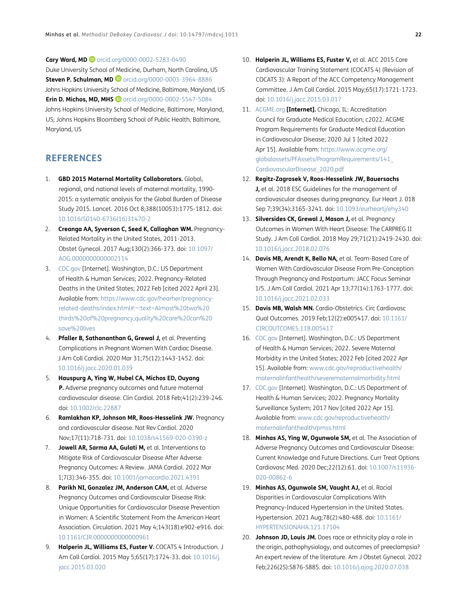**Cary Ward, MD D** [orcid.org/0000-0002-5283-0490](https://orcid.org/0000-0002-5283-0490) Duke University School of Medicine, Durham, North Carolina, US **Steven P. Schulman, MD**[orcid.org/0000-0003-3964-8886](https://orcid.org/0000-0003-3964-8886) Johns Hopkins University School of Medicine, Baltimore, Maryland, US **Erin D. Michos, MD, MHS D** [orcid.org/0000-0002-5547-5084](https://orcid.org/0000-0002-5547-5084) Johns Hopkins University School of Medicine, Baltimore, Maryland, US; Johns Hopkins Bloomberg School of Public Health, Baltimore, Maryland, US

#### **REFERENCES**

- <span id="page-8-0"></span>1. **GBD 2015 Maternal Mortality Collaborators.** Global, regional, and national levels of maternal mortality, 1990- 2015: a systematic analysis for the Global Burden of Disease Study 2015. Lancet. 2016 Oct 8;388(10053):1775-1812. doi: [10.1016/S0140-6736\(16\)31470-2](https://doi.org/10.1016/S0140-6736(16)31470-2)
- <span id="page-8-1"></span>2. **Creanga AA, Syverson C, Seed K, Callaghan WM.** Pregnancy-Related Mortality in the United States, 2011-2013. Obstet Gynecol. 2017 Aug;130(2):366-373. doi: [10.1097/](https://doi.org/10.1097/AOG.0000000000002114) [AOG.0000000000002114](https://doi.org/10.1097/AOG.0000000000002114)
- <span id="page-8-2"></span>3. [CDC.gov](http://CDC.gov) [Internet]. Washington, D.C.: US Department of Health & Human Services; 2022. Pregnancy-Related Deaths in the United States; 2022 Feb [cited 2022 April 23]. Available from: [https://www.cdc.gov/hearher/pregnancy](https://www.cdc.gov/hearher/pregnancy-related-deaths/index.html#:~:text=Almost%20two%20thirds%20of%20pregnancy,quality%20care%20can%20save%20lives)[related-deaths/index.html#:~:text=Almost%20two%20](https://www.cdc.gov/hearher/pregnancy-related-deaths/index.html#:~:text=Almost%20two%20thirds%20of%20pregnancy,quality%20care%20can%20save%20lives) [thirds%20of%20pregnancy,quality%20care%20can%20](https://www.cdc.gov/hearher/pregnancy-related-deaths/index.html#:~:text=Almost%20two%20thirds%20of%20pregnancy,quality%20care%20can%20save%20lives) [save%20lives](https://www.cdc.gov/hearher/pregnancy-related-deaths/index.html#:~:text=Almost%20two%20thirds%20of%20pregnancy,quality%20care%20can%20save%20lives)
- <span id="page-8-3"></span>4. **Pfaller B, Sathananthan G, Grewal J,** et al. Preventing Complications in Pregnant Women With Cardiac Disease. J Am Coll Cardiol. 2020 Mar 31;75(12):1443-1452. doi: [10.1016/j.jacc.2020.01.039](https://doi.org/10.1016/j.jacc.2020.01.039)
- <span id="page-8-4"></span>5. **Hauspurg A, Ying W, Hubel CA, Michos ED, Ouyang P.** Adverse pregnancy outcomes and future maternal cardiovascular disease. Clin Cardiol. 2018 Feb;41(2):239-246. doi: [10.1002/clc.22887](https://doi.org/10.1002/clc.22887)
- <span id="page-8-8"></span>6. **Ramlakhan KP, Johnson MR, Roos-Hesselink JW.** Pregnancy and cardiovascular disease. Nat Rev Cardiol. 2020 Nov;17(11):718-731. doi: [10.1038/s41569-020-0390-z](https://doi.org/10.1038/s41569-020-0390-z)
- <span id="page-8-16"></span>7. **Jowell AR, Sarma AA, Gulati M,** et al. Interventions to Mitigate Risk of Cardiovascular Disease After Adverse Pregnancy Outcomes: A Review. JAMA Cardiol. 2022 Mar 1;7(3):346-355. doi: [10.1001/jamacardio.2021.4391](https://doi.org/10.1001/jamacardio.2021.4391)
- <span id="page-8-5"></span>8. **Parikh NI, Gonzalez JM, Anderson CAM,** et al. Adverse Pregnancy Outcomes and Cardiovascular Disease Risk: Unique Opportunities for Cardiovascular Disease Prevention in Women: A Scientific Statement From the American Heart Association. Circulation. 2021 May 4;143(18):e902-e916. doi: [10.1161/CIR.0000000000000961](https://doi.org/10.1161/CIR.0000000000000961)
- <span id="page-8-6"></span>9. **Halperin JL, Williams ES, Fuster V.** COCATS 4 Introduction. J Am Coll Cardiol. 2015 May 5;65(17):1724-33. doi: 10.1016/j. [jacc.2015.03.020](https://doi.org/10.1016/j.jacc.2015.03.020)
- <span id="page-8-7"></span>10. **Halperin JL, Williams ES, Fuster V,** et al. ACC 2015 Core Cardiovascular Training Statement (COCATS 4) (Revision of COCATS 3): A Report of the ACC Competency Management Committee. J Am Coll Cardiol. 2015 May;65(17):1721-1723. doi: [10.1016/j.jacc.2015.03.017](https://doi.org/10.1016/j.jacc.2015.03.017)
- <span id="page-8-9"></span>11. [ACGME.org](http://ACGME.org) **[Internet].** Chicago, IL: Accreditation Council for Graduate Medical Education; c2022. ACGME Program Requirements for Graduate Medical Education in Cardiovascular Disease; 2020 Jul 1 [cited 2022 Apr 15]. Available from: [https://www.acgme.org/](https://www.acgme.org/globalassets/PFAssets/ProgramRequirements/141_CardiovascularDisease_2020.pdf) [globalassets/PFAssets/ProgramRequirements/141\\_](https://www.acgme.org/globalassets/PFAssets/ProgramRequirements/141_CardiovascularDisease_2020.pdf) [CardiovascularDisease\\_2020.pdf](https://www.acgme.org/globalassets/PFAssets/ProgramRequirements/141_CardiovascularDisease_2020.pdf)
- <span id="page-8-10"></span>12. **Regitz-Zagrosek V, Roos-Hesselink JW, Bauersachs J,** et al. 2018 ESC Guidelines for the management of cardiovascular diseases during pregnancy. Eur Heart J. 018 Sep 7;39(34):3165-3241. doi: [10.1093/eurheartj/ehy340](https://doi.org/10.1093/eurheartj/ehy340)
- <span id="page-8-11"></span>13. **Silversides CK, Grewal J, Mason J,** et al. Pregnancy Outcomes in Women With Heart Disease: The CARPREG II Study. J Am Coll Cardiol. 2018 May 29;71(21):2419-2430. doi: [10.1016/j.jacc.2018.02.076](https://doi.org/10.1016/j.jacc.2018.02.076)
- <span id="page-8-12"></span>14. **Davis MB, Arendt K, Bello NA,** et al. Team-Based Care of Women With Cardiovascular Disease From Pre-Conception Through Pregnancy and Postpartum: JACC Focus Seminar 1/5. J Am Coll Cardiol. 2021 Apr 13;77(14):1763-1777. doi: [10.1016/j.jacc.2021.02.033](https://doi.org/10.1016/j.jacc.2021.02.033)
- <span id="page-8-13"></span>15. **Davis MB, Walsh MN.** Cardio-Obstetrics. Circ Cardiovasc Qual Outcomes. 2019 Feb;12(2):e005417. doi: [10.1161/](https://doi.org/10.1161/CIRCOUTCOMES.118.005417) [CIRCOUTCOMES.118.005417](https://doi.org/10.1161/CIRCOUTCOMES.118.005417)
- <span id="page-8-14"></span>16. [CDC.gov](http://CDC.gov) [Internet]. Washington, D.C.: US Department of Health & Human Services; 2022. Severe Maternal Morbidity in the United States; 2022 Feb [cited 2022 Apr 15]. Available from: [www.cdc.gov/reproductivehealth/](www.cdc.gov/reproductivehealth/maternalinfanthealth/severematernalmorbidity.html) [maternalinfanthealth/severematernalmorbidity.html](www.cdc.gov/reproductivehealth/maternalinfanthealth/severematernalmorbidity.html)
- <span id="page-8-15"></span>17. [CDC.gov](http://CDC.gov) [Internet]. Washington, D.C.: US Department of Health & Human Services; 2022. Pregnancy Mortality Surveillance System; 2017 Nov [cited 2022 Apr 15]. Available from: [www.cdc.gov/reproductivehealth/](www.cdc.gov/reproductivehealth/maternalinfanthealth/pmss.html ) [maternalinfanthealth/pmss.html](www.cdc.gov/reproductivehealth/maternalinfanthealth/pmss.html )
- <span id="page-8-17"></span>18. **Minhas AS, Ying W, Ogunwole SM,** et al. The Association of Adverse Pregnancy Outcomes and Cardiovascular Disease: Current Knowledge and Future Directions. Curr Treat Options Cardiovasc Med. 2020 Dec;22(12):61. doi: [10.1007/s11936-](https://doi.org/10.1007/s11936-020-00862-6) [020-00862-6](https://doi.org/10.1007/s11936-020-00862-6)
- <span id="page-8-18"></span>19. **Minhas AS, Ogunwole SM, Vaught AJ,** et al. Racial Disparities in Cardiovascular Complications With Pregnancy-Induced Hypertension in the United States. Hypertension. 2021 Aug;78(2):480-488. doi: [10.1161/](https://doi.org/10.1161/HYPERTENSIONAHA.121.17104) [HYPERTENSIONAHA.121.17104](https://doi.org/10.1161/HYPERTENSIONAHA.121.17104)
- 20. **Johnson JD, Louis JM.** Does race or ethnicity play a role in the origin, pathophysiology, and outcomes of preeclampsia? An expert review of the literature. Am J Obstet Gynecol. 2022 Feb;226(2S):S876-S885. doi: [10.1016/j.ajog.2020.07.038](https://doi.org/10.1016/j.ajog.2020.07.038)